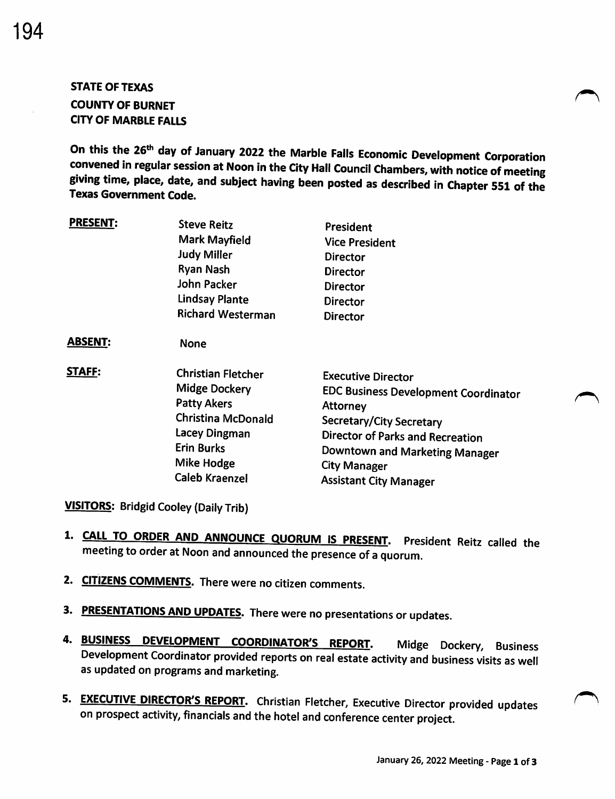# STATE OF TEXAS COUNTY OF BURNET CITY OF MARBLE FALLS

On this the 26<sup>th</sup> day of January 2022 the Marble Falls Economic Development Corporation convened in regular session at Noon in the City Hall Council Chambers, with notice of meeting giving time, place, date, and subject having been posted as described in Chapter 551 of the Texas Government Code.

| <b>PRESENT:</b> | <b>Steve Reitz</b><br><b>Mark Mayfield</b><br><b>Judy Miller</b><br>Ryan Nash<br>John Packer<br><b>Lindsay Plante</b><br><b>Richard Westerman</b>                                 | President<br><b>Vice President</b><br><b>Director</b><br><b>Director</b><br><b>Director</b><br><b>Director</b><br><b>Director</b>                                                                                                                     |
|-----------------|-----------------------------------------------------------------------------------------------------------------------------------------------------------------------------------|-------------------------------------------------------------------------------------------------------------------------------------------------------------------------------------------------------------------------------------------------------|
| <b>ABSENT:</b>  | None                                                                                                                                                                              |                                                                                                                                                                                                                                                       |
| <b>STAFF:</b>   | <b>Christian Fletcher</b><br><b>Midge Dockery</b><br><b>Patty Akers</b><br><b>Christina McDonald</b><br>Lacey Dingman<br><b>Erin Burks</b><br>Mike Hodge<br><b>Caleb Kraenzel</b> | <b>Executive Director</b><br><b>EDC Business Development Coordinator</b><br>Attorney<br>Secretary/City Secretary<br><b>Director of Parks and Recreation</b><br>Downtown and Marketing Manager<br><b>City Manager</b><br><b>Assistant City Manager</b> |

VISITORS: Bridgid Cooley (Daily Trib)

- 1. CALL TO ORDER AND ANNOUNCE QUORUM IS PRESENT. President Reitz called the meeting to order at Noon and announced the presence of <sup>a</sup> quorum.
- 2. CITIZENS COMMENTS. There were no citizen comments.
- 3. PRESENTATIONS AND UPDATES. There were no presentations or updates.
- 4. BUSINESS DEVELOPMENT COORDINATOR'S REPORT. Midge Dockery, Business Development Coordinator provided reports on real estate activity and business visits as well as updated on programs and marketing.
- 5. EXECUTIVE DIRECTOR'S REPORT. Christian Fletcher, Executive Director provided updates on prospect activity, financials and the hotel and conference center project.

A •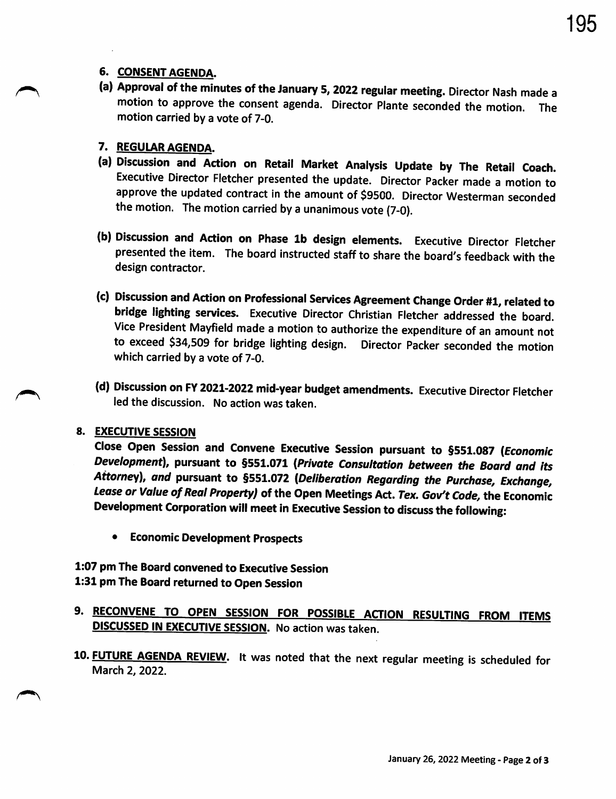### 6. CONSENT AGENDA.

(a) Approval of the minutes of the January 5, 2022 regular meeting. Director Nash made a motion to approve the consent agenda. Director Plante seconded the motion. The motion carried by <sup>a</sup> vote of 7-0.

### 7. REGULAR AGENDA.

- a) Discussion and Action on Retail Market Analysis Update by The Retail Coach. Executive Director Fletcher presented the update. Director Packer made <sup>a</sup> motion to approve the updated contract in the amount of \$9500. Director Westerman seconded the motion. The motion carried by <sup>a</sup> unanimous vote (7-0).
- b) Discussion and Action on Phase 1b design elements. Executive Director Fletcher presented the item. The board instructed staff to share the board's feedback with the design contractor.
- c) Discussion and Action on Professional Services Agreement Change Order #1, related to bridge lighting services. Executive Director Christian Fletcher addressed the board. Vice President Mayfield made <sup>a</sup> motion to authorize the expenditure of an amount not to exceed \$34,509 for bridge lighting design. Director Packer seconded the motion which carried by a vote of 7-0.
- d) Discussion on FY 2021-2022 mid -year budget amendments. Executive Director Fletcher led the discussion. No action was taken.

#### S. EXECUTIVE SESSION

Close Open Session and Convene Executive Session pursuant to §551.087 (Economic Development), pursuant to §551.071 ( Private Consultation between the Board and its Attorney), and pursuant to §551.072 ( Deliberation Regarding the Purchase, Exchange, Lease or Value of Real Property) of the Open Meetings Act. Tex. Gov't Code, the Economic Development Corporation will meet in Executive Session to discuss the following:

<sup>e</sup> Economic Development Prospects

## 1:07 pm The Board convened to Executive Session 1:31 pm The Board returned to Open Session

- 9. RECONVENE TO OPEN SESSION FOR POSSIBLE ACTION RESULTING FROM ITEMS **DISCUSSED IN EXECUTIVE SESSION.** No action was taken.
- 10. FUTURE AGENDA REVIEW. It was noted that the next regular meeting is scheduled for March 2, 2022.

195